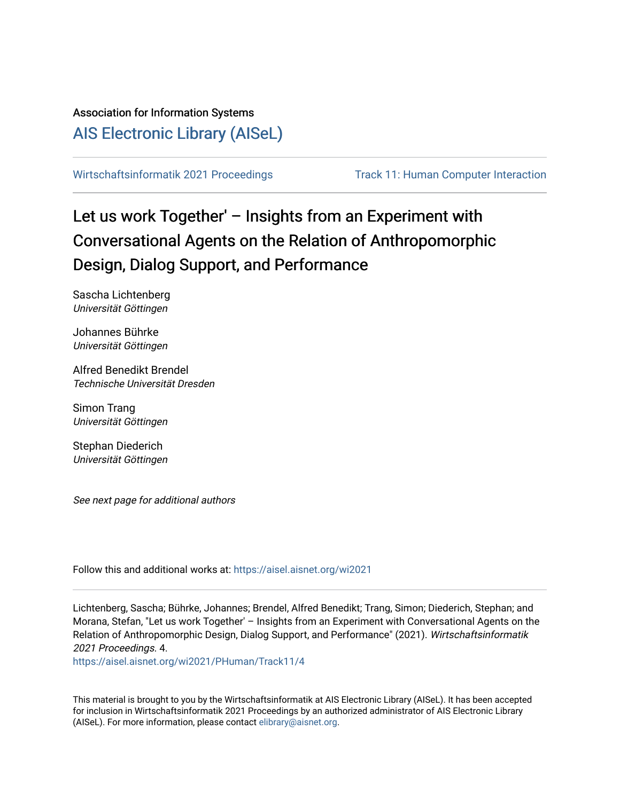# Association for Information Systems

# [AIS Electronic Library \(AISeL\)](https://aisel.aisnet.org/)

[Wirtschaftsinformatik 2021 Proceedings](https://aisel.aisnet.org/wi2021) Track 11: Human Computer Interaction

# Let us work Together' – Insights from an Experiment with Conversational Agents on the Relation of Anthropomorphic Design, Dialog Support, and Performance

Sascha Lichtenberg Universität Göttingen

Johannes Bührke Universität Göttingen

Alfred Benedikt Brendel Technische Universität Dresden

Simon Trang Universität Göttingen

Stephan Diederich Universität Göttingen

See next page for additional authors

Follow this and additional works at: [https://aisel.aisnet.org/wi2021](https://aisel.aisnet.org/wi2021?utm_source=aisel.aisnet.org%2Fwi2021%2FPHuman%2FTrack11%2F4&utm_medium=PDF&utm_campaign=PDFCoverPages) 

Lichtenberg, Sascha; Bührke, Johannes; Brendel, Alfred Benedikt; Trang, Simon; Diederich, Stephan; and Morana, Stefan, "Let us work Together' – Insights from an Experiment with Conversational Agents on the Relation of Anthropomorphic Design, Dialog Support, and Performance" (2021). Wirtschaftsinformatik 2021 Proceedings. 4.

[https://aisel.aisnet.org/wi2021/PHuman/Track11/4](https://aisel.aisnet.org/wi2021/PHuman/Track11/4?utm_source=aisel.aisnet.org%2Fwi2021%2FPHuman%2FTrack11%2F4&utm_medium=PDF&utm_campaign=PDFCoverPages) 

This material is brought to you by the Wirtschaftsinformatik at AIS Electronic Library (AISeL). It has been accepted for inclusion in Wirtschaftsinformatik 2021 Proceedings by an authorized administrator of AIS Electronic Library (AISeL). For more information, please contact [elibrary@aisnet.org](mailto:elibrary@aisnet.org%3E).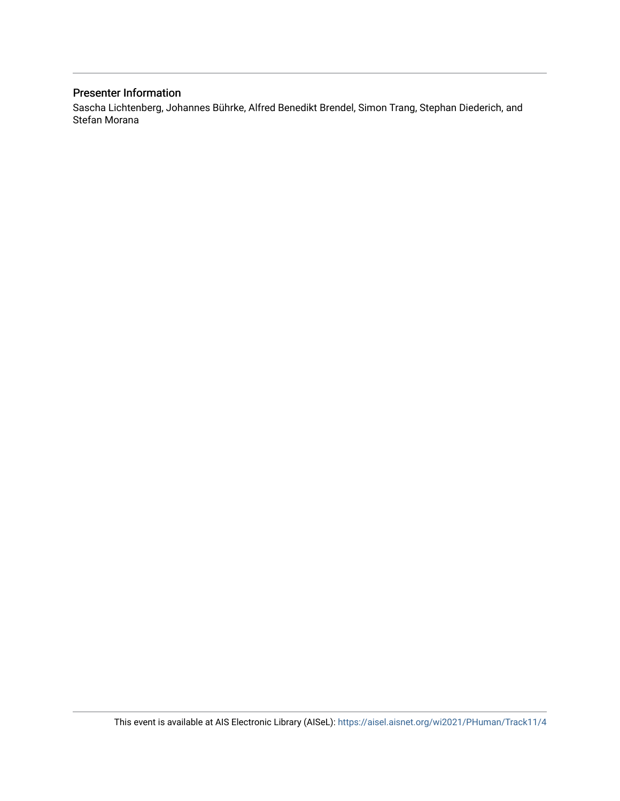# Presenter Information

Sascha Lichtenberg, Johannes Bührke, Alfred Benedikt Brendel, Simon Trang, Stephan Diederich, and Stefan Morana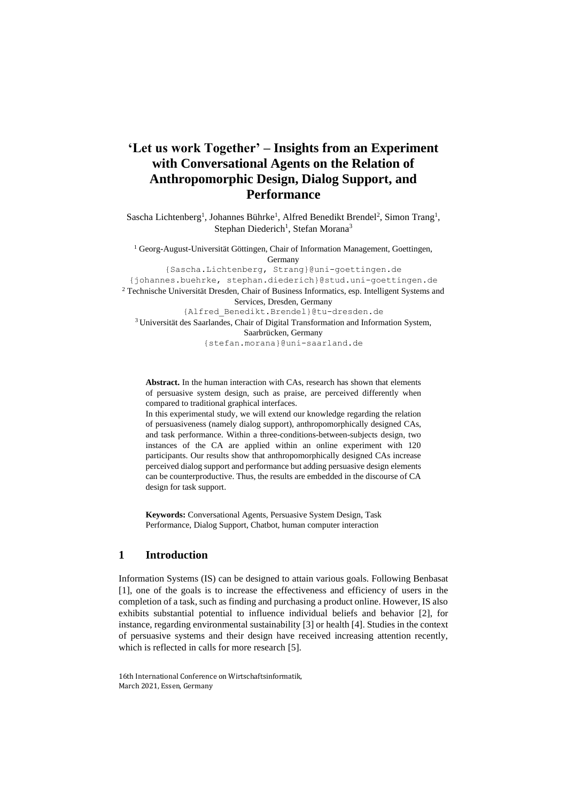# **'Let us work Together' – Insights from an Experiment with Conversational Agents on the Relation of Anthropomorphic Design, Dialog Support, and Performance**

Sascha Lichtenberg<sup>1</sup>, Johannes Bührke<sup>1</sup>, Alfred Benedikt Brendel<sup>2</sup>, Simon Trang<sup>1</sup>, Stephan Diederich<sup>1</sup>, Stefan Morana<sup>3</sup>

 $<sup>1</sup>$  Georg-August-Universität Göttingen, Chair of Information Management, Goettingen,</sup> Germany {Sascha.Lichtenberg, Strang}@uni-goettingen.de

{johannes.buehrke, stephan.diederich}@stud.uni-goettingen.de <sup>2</sup> Technische Universität Dresden, Chair of Business Informatics, esp. Intelligent Systems and Services, Dresden, Germany {Alfred\_Benedikt.Brendel}@tu-dresden.de <sup>3</sup> Universität des Saarlandes, Chair of Digital Transformation and Information System, Saarbrücken, Germany {stefan.morana}@uni-saarland.de

**Abstract.** In the human interaction with CAs, research has shown that elements of persuasive system design, such as praise, are perceived differently when compared to traditional graphical interfaces.

In this experimental study, we will extend our knowledge regarding the relation of persuasiveness (namely dialog support), anthropomorphically designed CAs, and task performance. Within a three-conditions-between-subjects design, two instances of the CA are applied within an online experiment with 120 participants. Our results show that anthropomorphically designed CAs increase perceived dialog support and performance but adding persuasive design elements can be counterproductive. Thus, the results are embedded in the discourse of CA design for task support.

**Keywords:** Conversational Agents, Persuasive System Design, Task Performance, Dialog Support, Chatbot, human computer interaction

# **1 Introduction**

Information Systems (IS) can be designed to attain various goals. Following Benbasat [1], one of the goals is to increase the effectiveness and efficiency of users in the completion of a task, such as finding and purchasing a product online. However, IS also exhibits substantial potential to influence individual beliefs and behavior [2], for instance, regarding environmental sustainability [3] or health [4]. Studies in the context of persuasive systems and their design have received increasing attention recently, which is reflected in calls for more research [5].

<sup>16</sup>th International Conference on Wirtschaftsinformatik, March 2021, Essen, Germany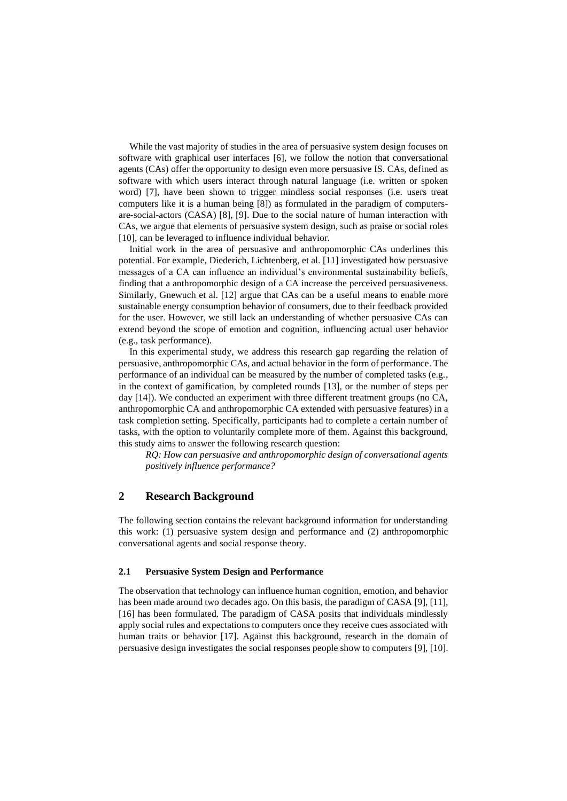While the vast majority of studies in the area of persuasive system design focuses on software with graphical user interfaces [6], we follow the notion that conversational agents (CAs) offer the opportunity to design even more persuasive IS. CAs, defined as software with which users interact through natural language (i.e. written or spoken word) [7], have been shown to trigger mindless social responses (i.e. users treat computers like it is a human being [8]) as formulated in the paradigm of computersare-social-actors (CASA) [8], [9]. Due to the social nature of human interaction with CAs, we argue that elements of persuasive system design, such as praise or social roles [10], can be leveraged to influence individual behavior.

Initial work in the area of persuasive and anthropomorphic CAs underlines this potential. For example, Diederich, Lichtenberg, et al. [11] investigated how persuasive messages of a CA can influence an individual's environmental sustainability beliefs, finding that a anthropomorphic design of a CA increase the perceived persuasiveness. Similarly, Gnewuch et al. [12] argue that CAs can be a useful means to enable more sustainable energy consumption behavior of consumers, due to their feedback provided for the user. However, we still lack an understanding of whether persuasive CAs can extend beyond the scope of emotion and cognition, influencing actual user behavior (e.g., task performance).

In this experimental study, we address this research gap regarding the relation of persuasive, anthropomorphic CAs, and actual behavior in the form of performance. The performance of an individual can be measured by the number of completed tasks (e.g., in the context of gamification, by completed rounds [13], or the number of steps per day [14]). We conducted an experiment with three different treatment groups (no CA, anthropomorphic CA and anthropomorphic CA extended with persuasive features) in a task completion setting. Specifically, participants had to complete a certain number of tasks, with the option to voluntarily complete more of them. Against this background, this study aims to answer the following research question:

*RQ: How can persuasive and anthropomorphic design of conversational agents positively influence performance?*

# **2 Research Background**

The following section contains the relevant background information for understanding this work: (1) persuasive system design and performance and (2) anthropomorphic conversational agents and social response theory.

#### **2.1 Persuasive System Design and Performance**

The observation that technology can influence human cognition, emotion, and behavior has been made around two decades ago. On this basis, the paradigm of CASA [9], [11], [16] has been formulated. The paradigm of CASA posits that individuals mindlessly apply social rules and expectations to computers once they receive cues associated with human traits or behavior [17]. Against this background, research in the domain of persuasive design investigates the social responses people show to computers [9], [10].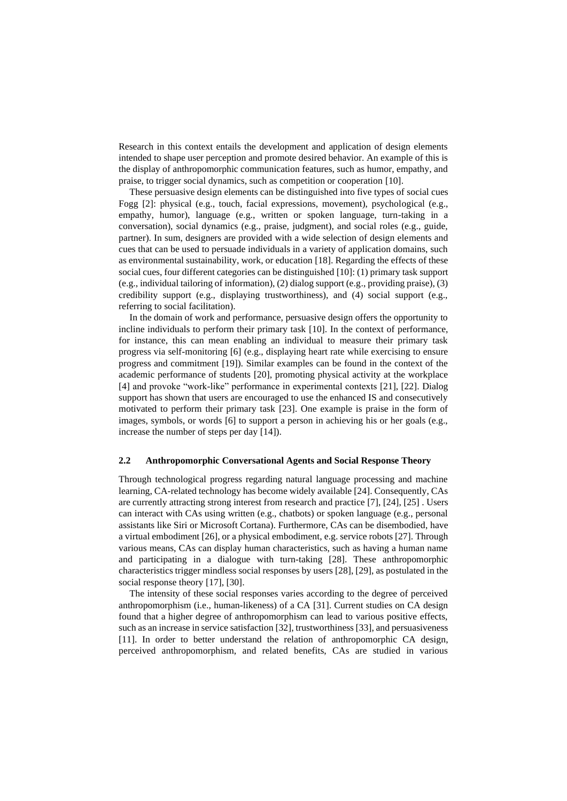Research in this context entails the development and application of design elements intended to shape user perception and promote desired behavior. An example of this is the display of anthropomorphic communication features, such as humor, empathy, and praise, to trigger social dynamics, such as competition or cooperation [10].

These persuasive design elements can be distinguished into five types of social cues Fogg [2]: physical (e.g., touch, facial expressions, movement), psychological (e.g., empathy, humor), language (e.g., written or spoken language, turn-taking in a conversation), social dynamics (e.g., praise, judgment), and social roles (e.g., guide, partner). In sum, designers are provided with a wide selection of design elements and cues that can be used to persuade individuals in a variety of application domains, such as environmental sustainability, work, or education [18]. Regarding the effects of these social cues, four different categories can be distinguished [10]: (1) primary task support (e.g., individual tailoring of information), (2) dialog support (e.g., providing praise), (3) credibility support (e.g., displaying trustworthiness), and (4) social support (e.g., referring to social facilitation).

In the domain of work and performance, persuasive design offers the opportunity to incline individuals to perform their primary task [10]. In the context of performance, for instance, this can mean enabling an individual to measure their primary task progress via self-monitoring [6] (e.g., displaying heart rate while exercising to ensure progress and commitment [19]). Similar examples can be found in the context of the academic performance of students [20], promoting physical activity at the workplace [4] and provoke "work-like" performance in experimental contexts [21], [22]. Dialog support has shown that users are encouraged to use the enhanced IS and consecutively motivated to perform their primary task [23]. One example is praise in the form of images, symbols, or words [6] to support a person in achieving his or her goals (e.g., increase the number of steps per day [14]).

#### **2.2 Anthropomorphic Conversational Agents and Social Response Theory**

Through technological progress regarding natural language processing and machine learning, CA-related technology has become widely available [24]. Consequently, CAs are currently attracting strong interest from research and practice [7], [24], [25] . Users can interact with CAs using written (e.g., chatbots) or spoken language (e.g., personal assistants like Siri or Microsoft Cortana). Furthermore, CAs can be disembodied, have a virtual embodiment [26], or a physical embodiment, e.g. service robots [27]. Through various means, CAs can display human characteristics, such as having a human name and participating in a dialogue with turn-taking [28]. These anthropomorphic characteristics trigger mindless social responses by users [28], [29], as postulated in the social response theory [17], [30].

The intensity of these social responses varies according to the degree of perceived anthropomorphism (i.e., human-likeness) of a CA [31]. Current studies on CA design found that a higher degree of anthropomorphism can lead to various positive effects, such as an increase in service satisfaction [32], trustworthiness [33], and persuasiveness [11]. In order to better understand the relation of anthropomorphic CA design, perceived anthropomorphism, and related benefits, CAs are studied in various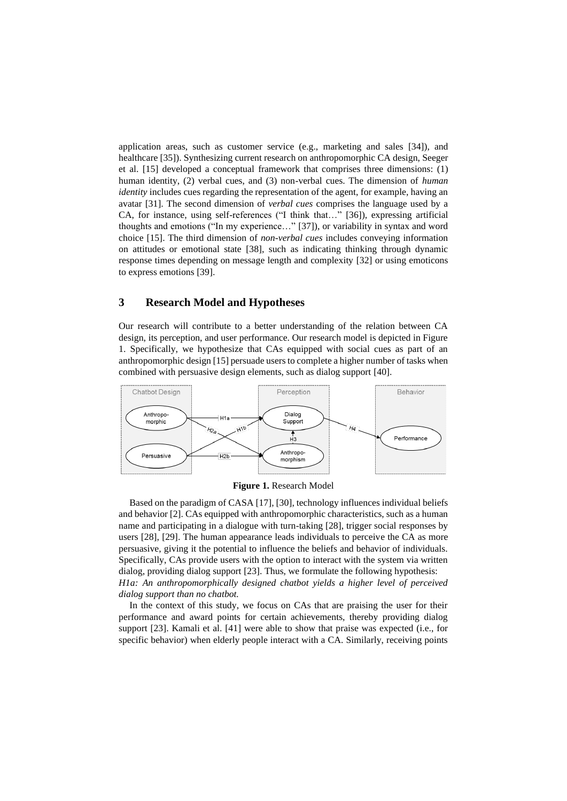application areas, such as customer service (e.g., marketing and sales [34]), and healthcare [35]). Synthesizing current research on anthropomorphic CA design, Seeger et al. [15] developed a conceptual framework that comprises three dimensions: (1) human identity, (2) verbal cues, and (3) non-verbal cues. The dimension of *human identity* includes cues regarding the representation of the agent, for example, having an avatar [31]. The second dimension of *verbal cues* comprises the language used by a CA, for instance, using self-references ("I think that…" [36]), expressing artificial thoughts and emotions ("In my experience…" [37]), or variability in syntax and word choice [15]. The third dimension of *non-verbal cues* includes conveying information on attitudes or emotional state [38], such as indicating thinking through dynamic response times depending on message length and complexity [32] or using emoticons to express emotions [39].

### **3 Research Model and Hypotheses**

Our research will contribute to a better understanding of the relation between CA design, its perception, and user performance. Our research model is depicted in Figure 1. Specifically, we hypothesize that CAs equipped with social cues as part of an anthropomorphic design [15] persuade users to complete a higher number of tasks when combined with persuasive design elements, such as dialog support [40].



**Figure 1.** Research Model

Based on the paradigm of CASA [17], [30], technology influences individual beliefs and behavior [2]. CAs equipped with anthropomorphic characteristics, such as a human name and participating in a dialogue with turn-taking [28], trigger social responses by users [28], [29]. The human appearance leads individuals to perceive the CA as more persuasive, giving it the potential to influence the beliefs and behavior of individuals. Specifically, CAs provide users with the option to interact with the system via written dialog, providing dialog support [23]. Thus, we formulate the following hypothesis: *H1a: An anthropomorphically designed chatbot yields a higher level of perceived dialog support than no chatbot.*

In the context of this study, we focus on CAs that are praising the user for their performance and award points for certain achievements, thereby providing dialog support [23]. Kamali et al. [41] were able to show that praise was expected (i.e., for specific behavior) when elderly people interact with a CA. Similarly, receiving points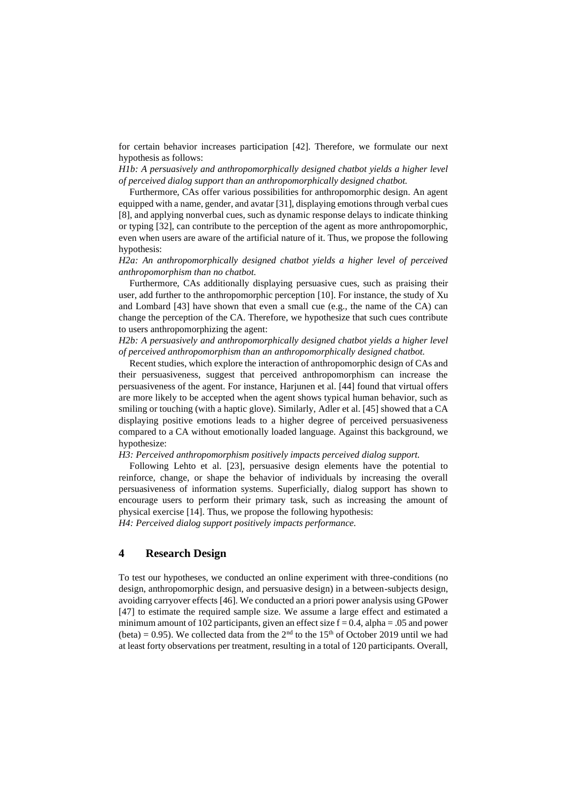for certain behavior increases participation [42]. Therefore, we formulate our next hypothesis as follows:

*H1b: A persuasively and anthropomorphically designed chatbot yields a higher level of perceived dialog support than an anthropomorphically designed chatbot.*

Furthermore, CAs offer various possibilities for anthropomorphic design. An agent equipped with a name, gender, and avatar [31], displaying emotions through verbal cues [8], and applying nonverbal cues, such as dynamic response delays to indicate thinking or typing [32], can contribute to the perception of the agent as more anthropomorphic, even when users are aware of the artificial nature of it. Thus, we propose the following hypothesis:

*H2a: An anthropomorphically designed chatbot yields a higher level of perceived anthropomorphism than no chatbot.*

Furthermore, CAs additionally displaying persuasive cues, such as praising their user, add further to the anthropomorphic perception [10]. For instance, the study of Xu and Lombard [43] have shown that even a small cue (e.g., the name of the CA) can change the perception of the CA. Therefore, we hypothesize that such cues contribute to users anthropomorphizing the agent:

*H2b: A persuasively and anthropomorphically designed chatbot yields a higher level of perceived anthropomorphism than an anthropomorphically designed chatbot.*

Recent studies, which explore the interaction of anthropomorphic design of CAs and their persuasiveness, suggest that perceived anthropomorphism can increase the persuasiveness of the agent. For instance, Harjunen et al. [44] found that virtual offers are more likely to be accepted when the agent shows typical human behavior, such as smiling or touching (with a haptic glove). Similarly, Adler et al. [45] showed that a CA displaying positive emotions leads to a higher degree of perceived persuasiveness compared to a CA without emotionally loaded language. Against this background, we hypothesize:

*H3: Perceived anthropomorphism positively impacts perceived dialog support.*

Following Lehto et al. [23], persuasive design elements have the potential to reinforce, change, or shape the behavior of individuals by increasing the overall persuasiveness of information systems. Superficially, dialog support has shown to encourage users to perform their primary task, such as increasing the amount of physical exercise [14]. Thus, we propose the following hypothesis:

*H4: Perceived dialog support positively impacts performance.*

## **4 Research Design**

To test our hypotheses, we conducted an online experiment with three-conditions (no design, anthropomorphic design, and persuasive design) in a between-subjects design, avoiding carryover effects [46]. We conducted an a priori power analysis using GPower [47] to estimate the required sample size. We assume a large effect and estimated a minimum amount of 102 participants, given an effect size  $f = 0.4$ , alpha = .05 and power (beta) = 0.95). We collected data from the  $2<sup>nd</sup>$  to the 15<sup>th</sup> of October 2019 until we had at least forty observations per treatment, resulting in a total of 120 participants. Overall,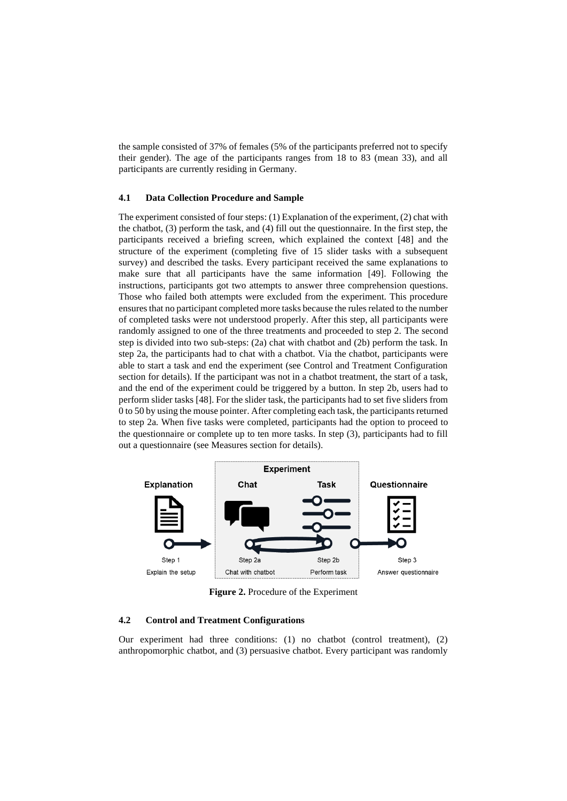the sample consisted of 37% of females (5% of the participants preferred not to specify their gender). The age of the participants ranges from 18 to 83 (mean 33), and all participants are currently residing in Germany.

#### **4.1 Data Collection Procedure and Sample**

The experiment consisted of four steps: (1) Explanation of the experiment, (2) chat with the chatbot, (3) perform the task, and (4) fill out the questionnaire. In the first step, the participants received a briefing screen, which explained the context [48] and the structure of the experiment (completing five of 15 slider tasks with a subsequent survey) and described the tasks. Every participant received the same explanations to make sure that all participants have the same information [49]. Following the instructions, participants got two attempts to answer three comprehension questions. Those who failed both attempts were excluded from the experiment. This procedure ensures that no participant completed more tasks because the rules related to the number of completed tasks were not understood properly. After this step, all participants were randomly assigned to one of the three treatments and proceeded to step 2. The second step is divided into two sub-steps: (2a) chat with chatbot and (2b) perform the task. In step 2a, the participants had to chat with a chatbot. Via the chatbot, participants were able to start a task and end the experiment (see Control and Treatment Configuration section for details). If the participant was not in a chatbot treatment, the start of a task, and the end of the experiment could be triggered by a button. In step 2b, users had to perform slider tasks [48]. For the slider task, the participants had to set five sliders from 0 to 50 by using the mouse pointer. After completing each task, the participants returned to step 2a. When five tasks were completed, participants had the option to proceed to the questionnaire or complete up to ten more tasks. In step (3), participants had to fill out a questionnaire (see Measures section for details).



**Figure 2.** Procedure of the Experiment

#### **4.2 Control and Treatment Configurations**

Our experiment had three conditions: (1) no chatbot (control treatment), (2) anthropomorphic chatbot, and (3) persuasive chatbot. Every participant was randomly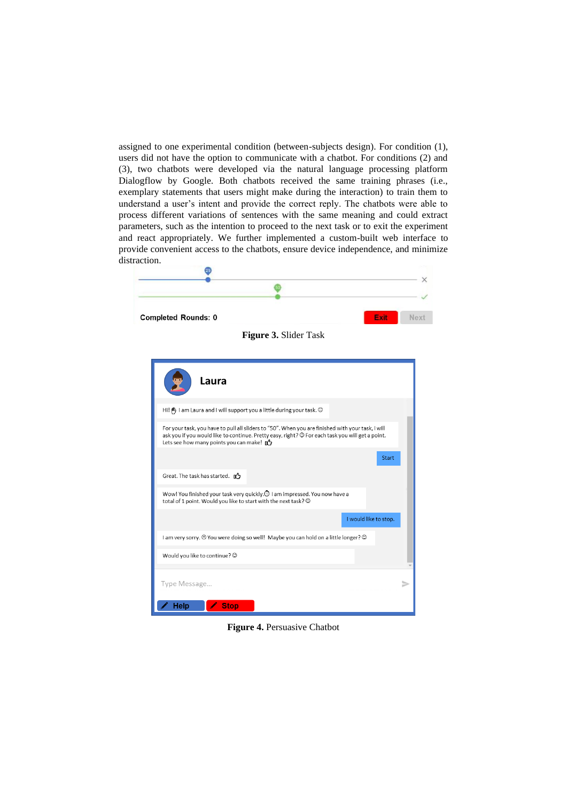assigned to one experimental condition (between-subjects design). For condition (1), users did not have the option to communicate with a chatbot. For conditions (2) and (3), two chatbots were developed via the natural language processing platform Dialogflow by Google. Both chatbots received the same training phrases (i.e., exemplary statements that users might make during the interaction) to train them to understand a user's intent and provide the correct reply. The chatbots were able to process different variations of sentences with the same meaning and could extract parameters, such as the intention to proceed to the next task or to exit the experiment and react appropriately. We further implemented a custom-built web interface to provide convenient access to the chatbots, ensure device independence, and minimize distraction.



**Figure 4.** Persuasive Chatbot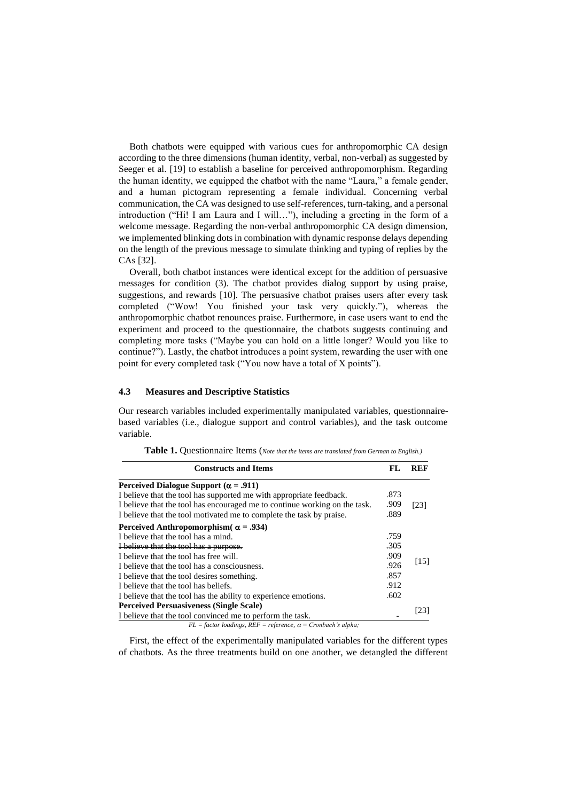Both chatbots were equipped with various cues for anthropomorphic CA design according to the three dimensions (human identity, verbal, non-verbal) as suggested by Seeger et al. [19] to establish a baseline for perceived anthropomorphism. Regarding the human identity, we equipped the chatbot with the name "Laura," a female gender, and a human pictogram representing a female individual. Concerning verbal communication, the CA was designed to use self-references, turn-taking, and a personal introduction ("Hi! I am Laura and I will…"), including a greeting in the form of a welcome message. Regarding the non-verbal anthropomorphic CA design dimension, we implemented blinking dots in combination with dynamic response delays depending on the length of the previous message to simulate thinking and typing of replies by the CAs [32].

Overall, both chatbot instances were identical except for the addition of persuasive messages for condition (3). The chatbot provides dialog support by using praise, suggestions, and rewards [10]. The persuasive chatbot praises users after every task completed ("Wow! You finished your task very quickly."), whereas the anthropomorphic chatbot renounces praise. Furthermore, in case users want to end the experiment and proceed to the questionnaire, the chatbots suggests continuing and completing more tasks ("Maybe you can hold on a little longer? Would you like to continue?"). Lastly, the chatbot introduces a point system, rewarding the user with one point for every completed task ("You now have a total of X points").

#### **4.3 Measures and Descriptive Statistics**

Our research variables included experimentally manipulated variables, questionnairebased variables (i.e., dialogue support and control variables), and the task outcome variable.

| <b>Constructs and Items</b>                                                | FL.    | REF  |
|----------------------------------------------------------------------------|--------|------|
| Perceived Dialogue Support ( $\alpha$ = .911)                              |        |      |
| I believe that the tool has supported me with appropriate feedback.        | .873   |      |
| I believe that the tool has encouraged me to continue working on the task. | .909   | [23] |
| I believe that the tool motivated me to complete the task by praise.       | .889   |      |
| Perceived Anthropomorphism( $\alpha = .934$ )                              |        |      |
| I believe that the tool has a mind.                                        | .759   |      |
| <b>I</b> believe that the tool has a purpose.                              | $-305$ |      |
| I believe that the tool has free will.                                     | .909   |      |
| I believe that the tool has a consciousness.                               | .926   | [15] |
| I believe that the tool desires something.                                 | .857   |      |
| I believe that the tool has beliefs.                                       | .912   |      |
| I believe that the tool has the ability to experience emotions.            | .602   |      |
| <b>Perceived Persuasiveness (Single Scale)</b>                             |        |      |
| I believe that the tool convinced me to perform the task.                  |        | [23] |

**Table 1.** Questionnaire Items (*Note that the items are translated from German to English.)*

 $FL = factor loadings, REF = reference, \ \alpha = Cronbach's alpha;$ 

First, the effect of the experimentally manipulated variables for the different types of chatbots. As the three treatments build on one another, we detangled the different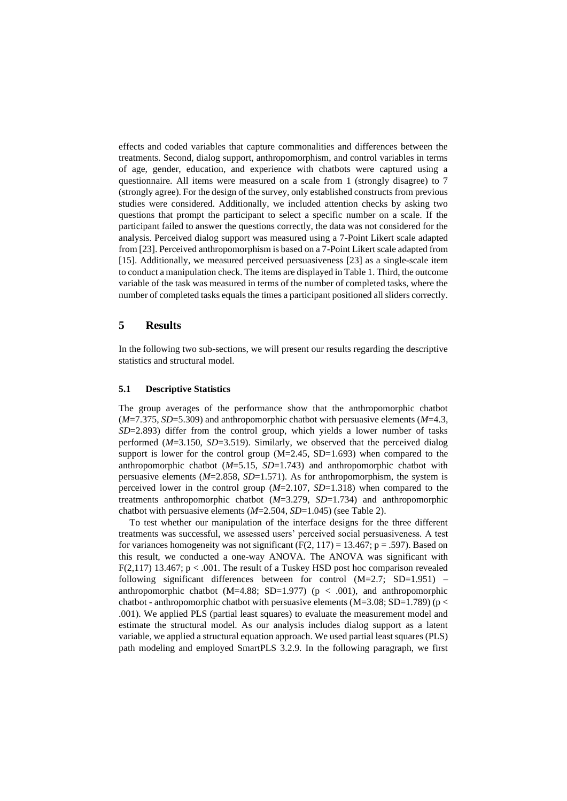effects and coded variables that capture commonalities and differences between the treatments. Second, dialog support, anthropomorphism, and control variables in terms of age, gender, education, and experience with chatbots were captured using a questionnaire. All items were measured on a scale from 1 (strongly disagree) to 7 (strongly agree). For the design of the survey, only established constructs from previous studies were considered. Additionally, we included attention checks by asking two questions that prompt the participant to select a specific number on a scale. If the participant failed to answer the questions correctly, the data was not considered for the analysis. Perceived dialog support was measured using a 7-Point Likert scale adapted from [23]. Perceived anthropomorphism is based on a 7-Point Likert scale adapted from [15]. Additionally, we measured perceived persuasiveness [23] as a single-scale item to conduct a manipulation check. The items are displayed in Table 1. Third, the outcome variable of the task was measured in terms of the number of completed tasks, where the number of completed tasks equals the times a participant positioned all sliders correctly.

#### **5 Results**

In the following two sub-sections, we will present our results regarding the descriptive statistics and structural model.

#### **5.1 Descriptive Statistics**

The group averages of the performance show that the anthropomorphic chatbot (*M*=7.375, *SD*=5.309) and anthropomorphic chatbot with persuasive elements (*M*=4.3, *SD*=2.893) differ from the control group, which yields a lower number of tasks performed (*M*=3.150, *SD*=3.519). Similarly, we observed that the perceived dialog support is lower for the control group (M=2.45, SD=1.693) when compared to the anthropomorphic chatbot (*M*=5.15, *SD*=1.743) and anthropomorphic chatbot with persuasive elements ( $M=2.858$ ,  $SD=1.571$ ). As for anthropomorphism, the system is perceived lower in the control group (*M*=2.107, *SD*=1.318) when compared to the treatments anthropomorphic chatbot (*M*=3.279, *SD*=1.734) and anthropomorphic chatbot with persuasive elements (*M*=2.504, *SD*=1.045) (see Table 2).

To test whether our manipulation of the interface designs for the three different treatments was successful, we assessed users' perceived social persuasiveness. A test for variances homogeneity was not significant (F(2, 117) = 13.467;  $p = .597$ ). Based on this result, we conducted a one-way ANOVA. The ANOVA was significant with  $F(2,117)$  13.467;  $p < .001$ . The result of a Tuskey HSD post hoc comparison revealed following significant differences between for control  $(M=2.7; SD=1.951)$  – anthropomorphic chatbot (M=4.88; SD=1.977) ( $p < .001$ ), and anthropomorphic chatbot - anthropomorphic chatbot with persuasive elements ( $M=3.08$ ; SD=1.789) (p < .001). We applied PLS (partial least squares) to evaluate the measurement model and estimate the structural model. As our analysis includes dialog support as a latent variable, we applied a structural equation approach. We used partial least squares (PLS) path modeling and employed SmartPLS 3.2.9. In the following paragraph, we first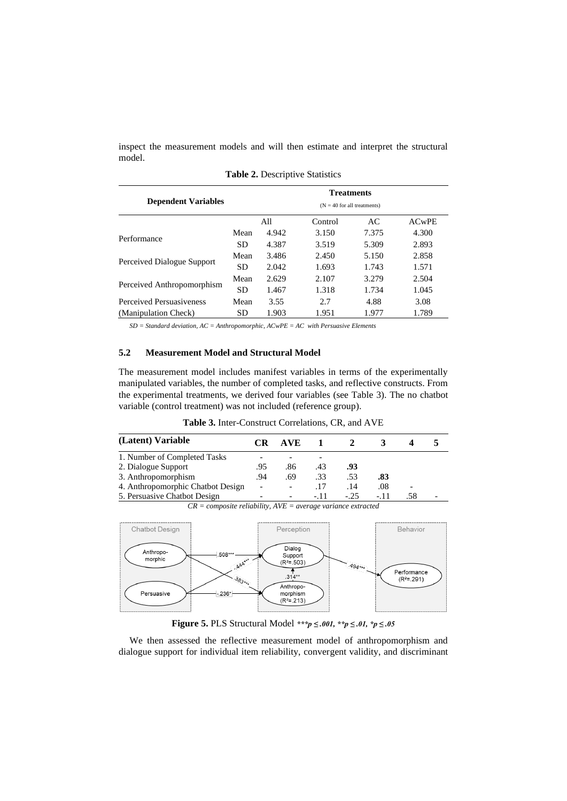inspect the measurement models and will then estimate and interpret the structural model.

| <b>Dependent Variables</b> | <b>Treatments</b><br>$(N = 40$ for all treatments) |       |               |       |              |  |
|----------------------------|----------------------------------------------------|-------|---------------|-------|--------------|--|
|                            | All                                                |       | Control<br>AC |       | <b>ACwPE</b> |  |
| Performance                | Mean                                               | 4.942 | 3.150         | 7.375 | 4.300        |  |
|                            | SD                                                 | 4.387 | 3.519         | 5.309 | 2.893        |  |
| Perceived Dialogue Support | Mean                                               | 3.486 | 2.450         | 5.150 | 2.858        |  |
|                            | <b>SD</b>                                          | 2.042 | 1.693         | 1.743 | 1.571        |  |
| Perceived Anthropomorphism | Mean                                               | 2.629 | 2.107         | 3.279 | 2.504        |  |
|                            | <b>SD</b>                                          | 1.467 | 1.318         | 1.734 | 1.045        |  |
| Perceived Persuasiveness   | Mean                                               | 3.55  | 2.7           | 4.88  | 3.08         |  |
| (Manipulation Check)       | SD                                                 | 1.903 | 1.951         | 1.977 | 1.789        |  |

**Table 2.** Descriptive Statistics

*SD = Standard deviation, AC = Anthropomorphic, ACwPE = AC with Persuasive Elements*

#### **5.2 Measurement Model and Structural Model**

The measurement model includes manifest variables in terms of the experimentally manipulated variables, the number of completed tasks, and reflective constructs. From the experimental treatments, we derived four variables (see Table 3). The no chatbot variable (control treatment) was not included (reference group).

**Table 3.** Inter-Construct Correlations, CR, and AVE

| (Latent) Variable                 | CR  | AVE.                     |       |       |      |     |  |
|-----------------------------------|-----|--------------------------|-------|-------|------|-----|--|
| 1. Number of Completed Tasks      |     |                          | -     |       |      |     |  |
| 2. Dialogue Support               | .95 | .86                      | .43   | .93   |      |     |  |
| 3. Anthropomorphism               |     | .69                      | .33   | .53   | .83  |     |  |
| 4. Anthropomorphic Chatbot Design |     | $\overline{\phantom{a}}$ | .17   | .14   | .08  |     |  |
| 5. Persuasive Chatbot Design      |     | $\overline{\phantom{0}}$ | $-11$ | $-25$ | - 11 | .58 |  |



*CR = composite reliability, AVE = average variance extracted*

We then assessed the reflective measurement model of anthropomorphism and dialogue support for individual item reliability, convergent validity, and discriminant

**Figure 5.** PLS Structural Model *\*\*\*p ≤ .001, \*\*p ≤ .01, \*p ≤ .05*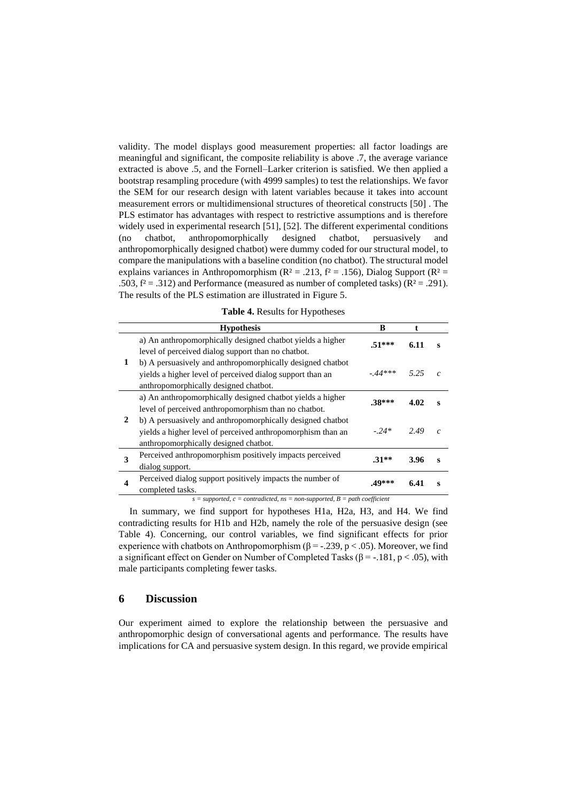validity. The model displays good measurement properties: all factor loadings are meaningful and significant, the composite reliability is above .7, the average variance extracted is above .5, and the Fornell–Larker criterion is satisfied. We then applied a bootstrap resampling procedure (with 4999 samples) to test the relationships. We favor the SEM for our research design with latent variables because it takes into account measurement errors or multidimensional structures of theoretical constructs [50] . The PLS estimator has advantages with respect to restrictive assumptions and is therefore widely used in experimental research [51], [52]. The different experimental conditions (no chatbot, anthropomorphically designed chatbot, persuasively and anthropomorphically designed chatbot) were dummy coded for our structural model, to compare the manipulations with a baseline condition (no chatbot). The structural model explains variances in Anthropomorphism ( $R^2 = .213$ ,  $f^2 = .156$ ), Dialog Support ( $R^2 =$ .503,  $f^2 = .312$ ) and Performance (measured as number of completed tasks) ( $R^2 = .291$ ). The results of the PLS estimation are illustrated in Figure 5.

|  |  |  | Table 4. Results for Hypotheses |
|--|--|--|---------------------------------|
|--|--|--|---------------------------------|

|   | <b>Hypothesis</b>                                                                                                                                                  | B        |      |               |  |  |  |
|---|--------------------------------------------------------------------------------------------------------------------------------------------------------------------|----------|------|---------------|--|--|--|
| 1 | a) An anthropomorphically designed chatbot yields a higher<br>level of perceived dialog support than no chatbot.                                                   | $.51***$ | 6.11 | s             |  |  |  |
|   | b) A persuasively and anthropomorphically designed chatbot<br>yields a higher level of perceived dialog support than an<br>anthropomorphically designed chatbot.   | $-44***$ | 5.25 | $\mathcal{C}$ |  |  |  |
| 2 | a) An anthropomorphically designed chatbot yields a higher<br>level of perceived anthropomorphism than no chatbot.                                                 | $.38***$ | 4.02 | $\bf{s}$      |  |  |  |
|   | b) A persuasively and anthropomorphically designed chatbot<br>yields a higher level of perceived anthropomorphism than an<br>anthropomorphically designed chatbot. | $-.24*$  | 2.49 | $\mathcal{C}$ |  |  |  |
| 3 | Perceived anthropomorphism positively impacts perceived<br>dialog support.                                                                                         | $.31**$  | 3.96 | $\bf{s}$      |  |  |  |
| 4 | Perceived dialog support positively impacts the number of<br>completed tasks.                                                                                      | .49***   | 6.41 | S             |  |  |  |
|   | $s = supported, c = contracted, ns = non-supported, B = path coefficient$                                                                                          |          |      |               |  |  |  |

In summary, we find support for hypotheses H1a, H2a, H3, and H4. We find contradicting results for H1b and H2b, namely the role of the persuasive design (see Table 4). Concerning, our control variables, we find significant effects for prior experience with chatbots on Anthropomorphism ( $\beta$  = -.239, p < .05). Moreover, we find a significant effect on Gender on Number of Completed Tasks ( $\beta$  = -.181, p < .05), with male participants completing fewer tasks.

## **6 Discussion**

Our experiment aimed to explore the relationship between the persuasive and anthropomorphic design of conversational agents and performance. The results have implications for CA and persuasive system design. In this regard, we provide empirical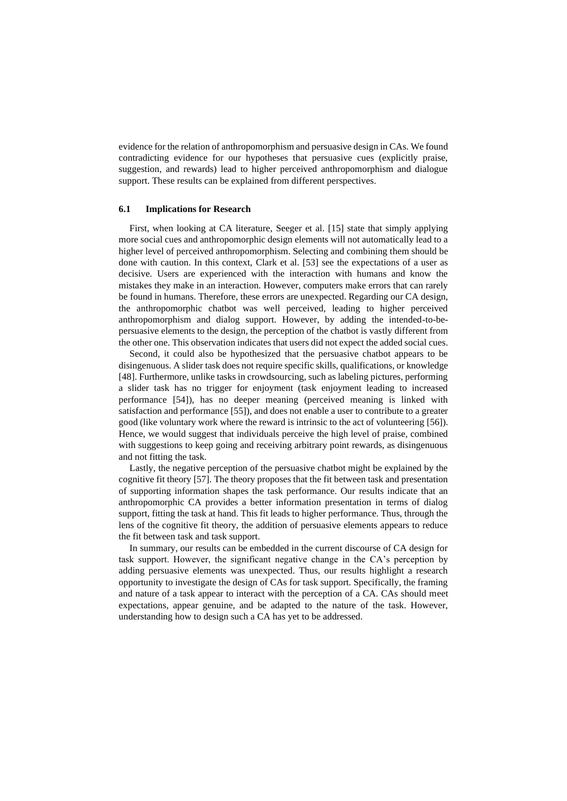evidence for the relation of anthropomorphism and persuasive design in CAs. We found contradicting evidence for our hypotheses that persuasive cues (explicitly praise, suggestion, and rewards) lead to higher perceived anthropomorphism and dialogue support. These results can be explained from different perspectives.

#### **6.1 Implications for Research**

First, when looking at CA literature, Seeger et al. [15] state that simply applying more social cues and anthropomorphic design elements will not automatically lead to a higher level of perceived anthropomorphism. Selecting and combining them should be done with caution. In this context, Clark et al. [53] see the expectations of a user as decisive. Users are experienced with the interaction with humans and know the mistakes they make in an interaction. However, computers make errors that can rarely be found in humans. Therefore, these errors are unexpected. Regarding our CA design, the anthropomorphic chatbot was well perceived, leading to higher perceived anthropomorphism and dialog support. However, by adding the intended-to-bepersuasive elements to the design, the perception of the chatbot is vastly different from the other one. This observation indicates that users did not expect the added social cues.

Second, it could also be hypothesized that the persuasive chatbot appears to be disingenuous. A slider task does not require specific skills, qualifications, or knowledge [48]. Furthermore, unlike tasks in crowdsourcing, such as labeling pictures, performing a slider task has no trigger for enjoyment (task enjoyment leading to increased performance [54]), has no deeper meaning (perceived meaning is linked with satisfaction and performance [55]), and does not enable a user to contribute to a greater good (like voluntary work where the reward is intrinsic to the act of volunteering [56]). Hence, we would suggest that individuals perceive the high level of praise, combined with suggestions to keep going and receiving arbitrary point rewards, as disingenuous and not fitting the task.

Lastly, the negative perception of the persuasive chatbot might be explained by the cognitive fit theory [57]. The theory proposes that the fit between task and presentation of supporting information shapes the task performance. Our results indicate that an anthropomorphic CA provides a better information presentation in terms of dialog support, fitting the task at hand. This fit leads to higher performance. Thus, through the lens of the cognitive fit theory, the addition of persuasive elements appears to reduce the fit between task and task support.

In summary, our results can be embedded in the current discourse of CA design for task support. However, the significant negative change in the CA's perception by adding persuasive elements was unexpected. Thus, our results highlight a research opportunity to investigate the design of CAs for task support. Specifically, the framing and nature of a task appear to interact with the perception of a CA. CAs should meet expectations, appear genuine, and be adapted to the nature of the task. However, understanding how to design such a CA has yet to be addressed.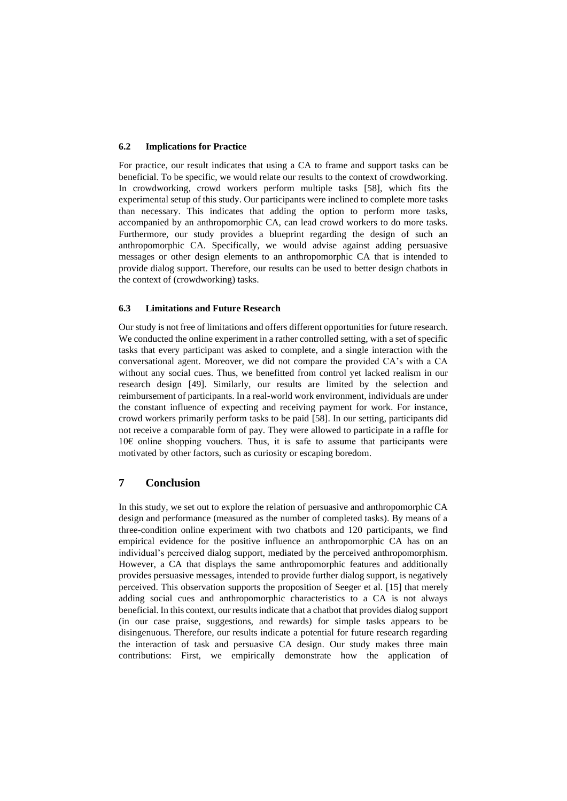#### **6.2 Implications for Practice**

For practice, our result indicates that using a CA to frame and support tasks can be beneficial. To be specific, we would relate our results to the context of crowdworking. In crowdworking, crowd workers perform multiple tasks [58], which fits the experimental setup of this study. Our participants were inclined to complete more tasks than necessary. This indicates that adding the option to perform more tasks, accompanied by an anthropomorphic CA, can lead crowd workers to do more tasks. Furthermore, our study provides a blueprint regarding the design of such an anthropomorphic CA. Specifically, we would advise against adding persuasive messages or other design elements to an anthropomorphic CA that is intended to provide dialog support. Therefore, our results can be used to better design chatbots in the context of (crowdworking) tasks.

#### **6.3 Limitations and Future Research**

Our study is not free of limitations and offers different opportunities for future research. We conducted the online experiment in a rather controlled setting, with a set of specific tasks that every participant was asked to complete, and a single interaction with the conversational agent. Moreover, we did not compare the provided CA's with a CA without any social cues. Thus, we benefitted from control yet lacked realism in our research design [49]. Similarly, our results are limited by the selection and reimbursement of participants. In a real-world work environment, individuals are under the constant influence of expecting and receiving payment for work. For instance, crowd workers primarily perform tasks to be paid [58]. In our setting, participants did not receive a comparable form of pay. They were allowed to participate in a raffle for 10€ online shopping vouchers. Thus, it is safe to assume that participants were motivated by other factors, such as curiosity or escaping boredom.

# **7 Conclusion**

In this study, we set out to explore the relation of persuasive and anthropomorphic CA design and performance (measured as the number of completed tasks). By means of a three-condition online experiment with two chatbots and 120 participants, we find empirical evidence for the positive influence an anthropomorphic CA has on an individual's perceived dialog support, mediated by the perceived anthropomorphism. However, a CA that displays the same anthropomorphic features and additionally provides persuasive messages, intended to provide further dialog support, is negatively perceived. This observation supports the proposition of Seeger et al. [15] that merely adding social cues and anthropomorphic characteristics to a CA is not always beneficial. In this context, our results indicate that a chatbot that provides dialog support (in our case praise, suggestions, and rewards) for simple tasks appears to be disingenuous. Therefore, our results indicate a potential for future research regarding the interaction of task and persuasive CA design. Our study makes three main contributions: First, we empirically demonstrate how the application of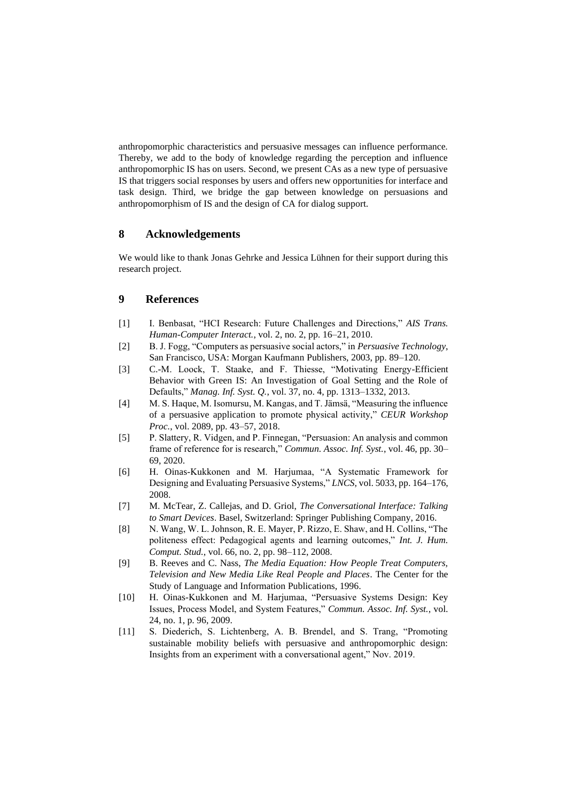anthropomorphic characteristics and persuasive messages can influence performance. Thereby, we add to the body of knowledge regarding the perception and influence anthropomorphic IS has on users. Second, we present CAs as a new type of persuasive IS that triggers social responses by users and offers new opportunities for interface and task design. Third, we bridge the gap between knowledge on persuasions and anthropomorphism of IS and the design of CA for dialog support.

# **8 Acknowledgements**

We would like to thank Jonas Gehrke and Jessica Lühnen for their support during this research project.

# **9 References**

- [1] I. Benbasat, "HCI Research: Future Challenges and Directions," *AIS Trans. Human-Computer Interact.*, vol. 2, no. 2, pp. 16–21, 2010.
- [2] B. J. Fogg, "Computers as persuasive social actors," in *Persuasive Technology*, San Francisco, USA: Morgan Kaufmann Publishers, 2003, pp. 89–120.
- [3] C.-M. Loock, T. Staake, and F. Thiesse, "Motivating Energy-Efficient Behavior with Green IS: An Investigation of Goal Setting and the Role of Defaults," *Manag. Inf. Syst. Q.*, vol. 37, no. 4, pp. 1313–1332, 2013.
- [4] M. S. Haque, M. Isomursu, M. Kangas, and T. Jämsä, "Measuring the influence of a persuasive application to promote physical activity," *CEUR Workshop Proc.*, vol. 2089, pp. 43–57, 2018.
- [5] P. Slattery, R. Vidgen, and P. Finnegan, "Persuasion: An analysis and common frame of reference for is research," *Commun. Assoc. Inf. Syst.*, vol. 46, pp. 30– 69, 2020.
- [6] H. Oinas-Kukkonen and M. Harjumaa, "A Systematic Framework for Designing and Evaluating Persuasive Systems," *LNCS*, vol. 5033, pp. 164–176, 2008.
- [7] M. McTear, Z. Callejas, and D. Griol, *The Conversational Interface: Talking to Smart Devices*. Basel, Switzerland: Springer Publishing Company, 2016.
- [8] N. Wang, W. L. Johnson, R. E. Mayer, P. Rizzo, E. Shaw, and H. Collins, "The politeness effect: Pedagogical agents and learning outcomes," *Int. J. Hum. Comput. Stud.*, vol. 66, no. 2, pp. 98–112, 2008.
- [9] B. Reeves and C. Nass, *The Media Equation: How People Treat Computers, Television and New Media Like Real People and Places*. The Center for the Study of Language and Information Publications, 1996.
- [10] H. Oinas-Kukkonen and M. Harjumaa, "Persuasive Systems Design: Key Issues, Process Model, and System Features," *Commun. Assoc. Inf. Syst.*, vol. 24, no. 1, p. 96, 2009.
- [11] S. Diederich, S. Lichtenberg, A. B. Brendel, and S. Trang, "Promoting sustainable mobility beliefs with persuasive and anthropomorphic design: Insights from an experiment with a conversational agent," Nov. 2019.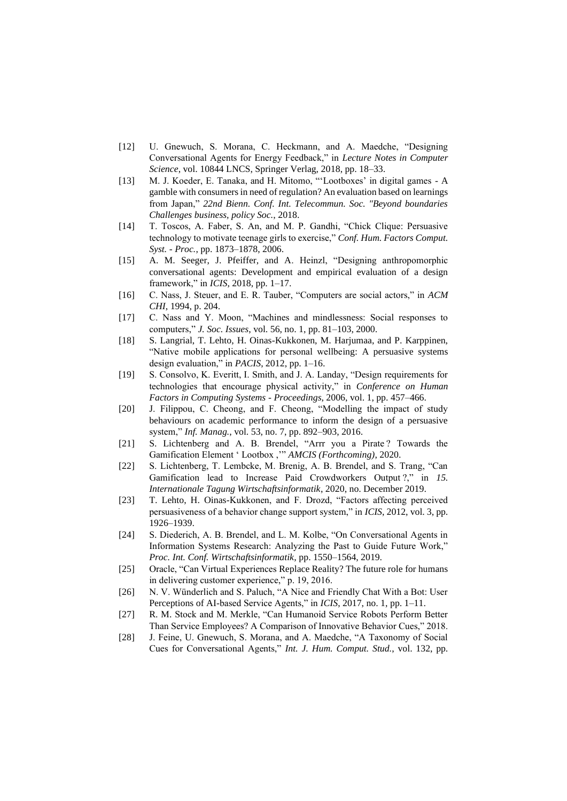- [12] U. Gnewuch, S. Morana, C. Heckmann, and A. Maedche, "Designing Conversational Agents for Energy Feedback," in *Lecture Notes in Computer Science*, vol. 10844 LNCS, Springer Verlag, 2018, pp. 18–33.
- [13] M. J. Koeder, E. Tanaka, and H. Mitomo, "'Lootboxes' in digital games A gamble with consumers in need of regulation? An evaluation based on learnings from Japan," *22nd Bienn. Conf. Int. Telecommun. Soc. "Beyond boundaries Challenges business, policy Soc.*, 2018.
- [14] T. Toscos, A. Faber, S. An, and M. P. Gandhi, "Chick Clique: Persuasive technology to motivate teenage girls to exercise," *Conf. Hum. Factors Comput. Syst. - Proc.*, pp. 1873–1878, 2006.
- [15] A. M. Seeger, J. Pfeiffer, and A. Heinzl, "Designing anthropomorphic conversational agents: Development and empirical evaluation of a design framework," in *ICIS*, 2018, pp. 1–17.
- [16] C. Nass, J. Steuer, and E. R. Tauber, "Computers are social actors," in *ACM CHI*, 1994, p. 204.
- [17] C. Nass and Y. Moon, "Machines and mindlessness: Social responses to computers," *J. Soc. Issues*, vol. 56, no. 1, pp. 81–103, 2000.
- [18] S. Langrial, T. Lehto, H. Oinas-Kukkonen, M. Harjumaa, and P. Karppinen, "Native mobile applications for personal wellbeing: A persuasive systems design evaluation," in *PACIS*, 2012, pp. 1–16.
- [19] S. Consolvo, K. Everitt, I. Smith, and J. A. Landay, "Design requirements for technologies that encourage physical activity," in *Conference on Human Factors in Computing Systems - Proceedings*, 2006, vol. 1, pp. 457–466.
- [20] J. Filippou, C. Cheong, and F. Cheong, "Modelling the impact of study behaviours on academic performance to inform the design of a persuasive system," *Inf. Manag.*, vol. 53, no. 7, pp. 892–903, 2016.
- [21] S. Lichtenberg and A. B. Brendel, "Arrr you a Pirate? Towards the Gamification Element ' Lootbox ,'" *AMCIS (Forthcoming)*, 2020.
- [22] S. Lichtenberg, T. Lembcke, M. Brenig, A. B. Brendel, and S. Trang, "Can Gamification lead to Increase Paid Crowdworkers Output ?," in *15. Internationale Tagung Wirtschaftsinformatik*, 2020, no. December 2019.
- [23] T. Lehto, H. Oinas-Kukkonen, and F. Drozd, "Factors affecting perceived persuasiveness of a behavior change support system," in *ICIS*, 2012, vol. 3, pp. 1926–1939.
- [24] S. Diederich, A. B. Brendel, and L. M. Kolbe, "On Conversational Agents in Information Systems Research: Analyzing the Past to Guide Future Work," *Proc. Int. Conf. Wirtschaftsinformatik*, pp. 1550–1564, 2019.
- [25] Oracle, "Can Virtual Experiences Replace Reality? The future role for humans in delivering customer experience," p. 19, 2016.
- [26] N. V. Wünderlich and S. Paluch, "A Nice and Friendly Chat With a Bot: User Perceptions of AI-based Service Agents," in *ICIS*, 2017, no. 1, pp. 1–11.
- [27] R. M. Stock and M. Merkle, "Can Humanoid Service Robots Perform Better Than Service Employees? A Comparison of Innovative Behavior Cues," 2018.
- [28] J. Feine, U. Gnewuch, S. Morana, and A. Maedche, "A Taxonomy of Social Cues for Conversational Agents," *Int. J. Hum. Comput. Stud.*, vol. 132, pp.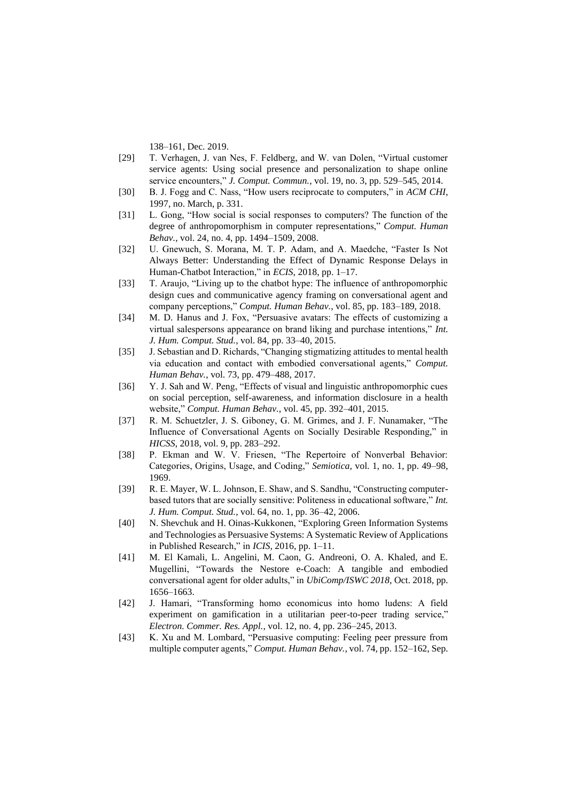138–161, Dec. 2019.

- [29] T. Verhagen, J. van Nes, F. Feldberg, and W. van Dolen, "Virtual customer service agents: Using social presence and personalization to shape online service encounters," *J. Comput. Commun.*, vol. 19, no. 3, pp. 529–545, 2014.
- [30] B. J. Fogg and C. Nass, "How users reciprocate to computers," in *ACM CHI*, 1997, no. March, p. 331.
- [31] L. Gong, "How social is social responses to computers? The function of the degree of anthropomorphism in computer representations," *Comput. Human Behav.*, vol. 24, no. 4, pp. 1494–1509, 2008.
- [32] U. Gnewuch, S. Morana, M. T. P. Adam, and A. Maedche, "Faster Is Not Always Better: Understanding the Effect of Dynamic Response Delays in Human-Chatbot Interaction," in *ECIS*, 2018, pp. 1–17.
- [33] T. Araujo, "Living up to the chatbot hype: The influence of anthropomorphic design cues and communicative agency framing on conversational agent and company perceptions," *Comput. Human Behav.*, vol. 85, pp. 183–189, 2018.
- [34] M. D. Hanus and J. Fox, "Persuasive avatars: The effects of customizing a virtual salespersons appearance on brand liking and purchase intentions," *Int. J. Hum. Comput. Stud.*, vol. 84, pp. 33–40, 2015.
- [35] J. Sebastian and D. Richards, "Changing stigmatizing attitudes to mental health via education and contact with embodied conversational agents," *Comput. Human Behav.*, vol. 73, pp. 479–488, 2017.
- [36] Y. J. Sah and W. Peng, "Effects of visual and linguistic anthropomorphic cues on social perception, self-awareness, and information disclosure in a health website," *Comput. Human Behav.*, vol. 45, pp. 392–401, 2015.
- [37] R. M. Schuetzler, J. S. Giboney, G. M. Grimes, and J. F. Nunamaker, "The Influence of Conversational Agents on Socially Desirable Responding," in *HICSS*, 2018, vol. 9, pp. 283–292.
- [38] P. Ekman and W. V. Friesen, "The Repertoire of Nonverbal Behavior: Categories, Origins, Usage, and Coding," *Semiotica*, vol. 1, no. 1, pp. 49–98, 1969.
- [39] R. E. Mayer, W. L. Johnson, E. Shaw, and S. Sandhu, "Constructing computerbased tutors that are socially sensitive: Politeness in educational software," *Int. J. Hum. Comput. Stud.*, vol. 64, no. 1, pp. 36–42, 2006.
- [40] N. Shevchuk and H. Oinas-Kukkonen, "Exploring Green Information Systems and Technologies as Persuasive Systems: A Systematic Review of Applications in Published Research," in *ICIS*, 2016, pp. 1–11.
- [41] M. El Kamali, L. Angelini, M. Caon, G. Andreoni, O. A. Khaled, and E. Mugellini, "Towards the Nestore e-Coach: A tangible and embodied conversational agent for older adults," in *UbiComp/ISWC 2018*, Oct. 2018, pp. 1656–1663.
- [42] J. Hamari, "Transforming homo economicus into homo ludens: A field experiment on gamification in a utilitarian peer-to-peer trading service," *Electron. Commer. Res. Appl.*, vol. 12, no. 4, pp. 236–245, 2013.
- [43] K. Xu and M. Lombard, "Persuasive computing: Feeling peer pressure from multiple computer agents," *Comput. Human Behav.*, vol. 74, pp. 152–162, Sep.